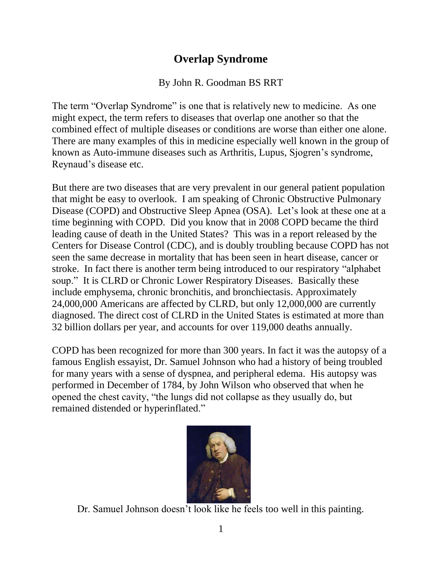## **Overlap Syndrome**

## By John R. Goodman BS RRT

The term "Overlap Syndrome" is one that is relatively new to medicine. As one might expect, the term refers to diseases that overlap one another so that the combined effect of multiple diseases or conditions are worse than either one alone. There are many examples of this in medicine especially well known in the group of known as Auto-immune diseases such as Arthritis, Lupus, Sjogren's syndrome, Reynaud's disease etc.

But there are two diseases that are very prevalent in our general patient population that might be easy to overlook. I am speaking of Chronic Obstructive Pulmonary Disease (COPD) and Obstructive Sleep Apnea (OSA). Let's look at these one at a time beginning with COPD. Did you know that in 2008 COPD became the third leading cause of death in the United States? This was in a report released by the Centers for Disease Control (CDC), and is doubly troubling because COPD has not seen the same decrease in mortality that has been seen in heart disease, cancer or stroke. In fact there is another term being introduced to our respiratory "alphabet soup." It is CLRD or Chronic Lower Respiratory Diseases. Basically these include emphysema, chronic bronchitis, and bronchiectasis. Approximately 24,000,000 Americans are affected by CLRD, but only 12,000,000 are currently diagnosed. The direct cost of CLRD in the United States is estimated at more than 32 billion dollars per year, and accounts for over 119,000 deaths annually.

COPD has been recognized for more than 300 years. In fact it was the autopsy of a famous English essayist, Dr. Samuel Johnson who had a history of being troubled for many years with a sense of dyspnea, and peripheral edema. His autopsy was performed in December of 1784, by John Wilson who observed that when he opened the chest cavity, "the lungs did not collapse as they usually do, but remained distended or hyperinflated."



Dr. Samuel Johnson doesn't look like he feels too well in this painting.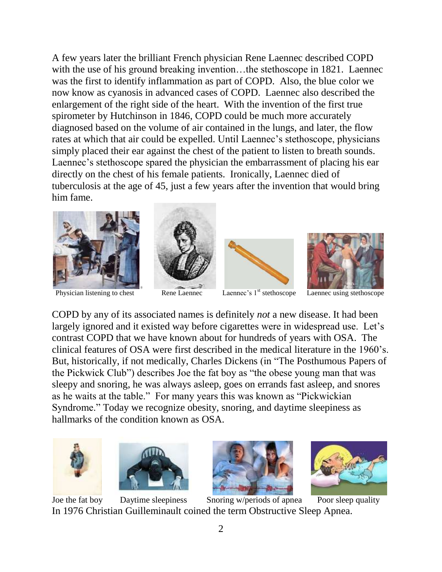A few years later the brilliant French physician Rene Laennec described COPD with the use of his ground breaking invention...the stethoscope in 1821. Laennec was the first to identify inflammation as part of COPD. Also, the blue color we now know as cyanosis in advanced cases of COPD. Laennec also described the enlargement of the right side of the heart. With the invention of the first true spirometer by Hutchinson in 1846, COPD could be much more accurately diagnosed based on the volume of air contained in the lungs, and later, the flow rates at which that air could be expelled. Until Laennec's stethoscope, physicians simply placed their ear against the chest of the patient to listen to breath sounds. Laennec's stethoscope spared the physician the embarrassment of placing his ear directly on the chest of his female patients. Ironically, Laennec died of tuberculosis at the age of 45, just a few years after the invention that would bring him fame.



Physician listening to chest Rene Laennec Laennec's 1<sup>st</sup> stethoscope Laennec using stethoscope







COPD by any of its associated names is definitely *not* a new disease. It had been largely ignored and it existed way before cigarettes were in widespread use. Let's contrast COPD that we have known about for hundreds of years with OSA. The clinical features of OSA were first described in the medical literature in the 1960's. But, historically, if not medically, Charles Dickens (in "The Posthumous Papers of the Pickwick Club") describes Joe the fat boy as "the obese young man that was sleepy and snoring, he was always asleep, goes on errands fast asleep, and snores as he waits at the table." For many years this was known as "Pickwickian Syndrome." Today we recognize obesity, snoring, and daytime sleepiness as hallmarks of the condition known as OSA.









Joe the fat boy Daytime sleepiness Snoring w/periods of apnea Poor sleep quality In 1976 Christian Guilleminault coined the term Obstructive Sleep Apnea.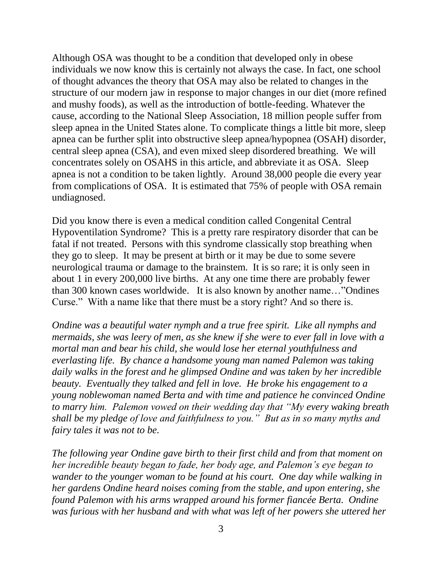Although OSA was thought to be a condition that developed only in obese individuals we now know this is certainly not always the case. In fact, one school of thought advances the theory that OSA may also be related to changes in the structure of our modern jaw in response to major changes in our diet (more refined and mushy foods), as well as the introduction of bottle-feeding. Whatever the cause, according to the National Sleep Association, 18 million people suffer from sleep apnea in the United States alone. To complicate things a little bit more, sleep apnea can be further split into obstructive sleep apnea/hypopnea (OSAH) disorder, central sleep apnea (CSA), and even mixed sleep disordered breathing. We will concentrates solely on OSAHS in this article, and abbreviate it as OSA. Sleep apnea is not a condition to be taken lightly. Around 38,000 people die every year from complications of OSA. It is estimated that 75% of people with OSA remain undiagnosed.

Did you know there is even a medical condition called Congenital Central Hypoventilation Syndrome? This is a pretty rare respiratory disorder that can be fatal if not treated. Persons with this syndrome classically stop breathing when they go to sleep. It may be present at birth or it may be due to some severe neurological trauma or damage to the brainstem. It is so rare; it is only seen in about 1 in every 200,000 live births. At any one time there are probably fewer than 300 known cases worldwide. It is also known by another name…"Ondines Curse." With a name like that there must be a story right? And so there is.

*Ondine was a beautiful water nymph and a true free spirit. Like all nymphs and mermaids, she was leery of men, as she knew if she were to ever fall in love with a mortal man and bear his child, she would lose her eternal youthfulness and everlasting life. By chance a handsome young man named Palemon was taking daily walks in the forest and he glimpsed Ondine and was taken by her incredible beauty. Eventually they talked and fell in love. He broke his engagement to a young noblewoman named Berta and with time and patience he convinced Ondine to marry him. Palemon vowed on their wedding day that "My every waking breath shall be my pledge of love and faithfulness to you." But as in so many myths and fairy tales it was not to be.*

*The following year Ondine gave birth to their first child and from that moment on her incredible beauty began to fade, her body age, and Palemon's eye began to wander to the younger woman to be found at his court. One day while walking in her gardens Ondine heard noises coming from the stable, and upon entering, she found Palemon with his arms wrapped around his former fiancée Berta. Ondine was furious with her husband and with what was left of her powers she uttered her*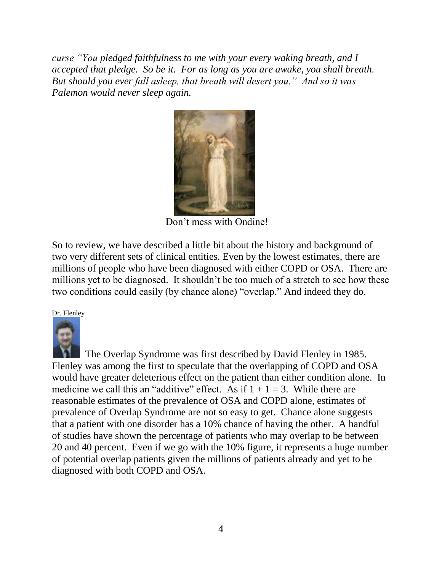*curse "You pledged faithfulness to me with your every waking breath, and I accepted that pledge. So be it. For as long as you are awake, you shall breath. But should you ever fall asleep, that breath will desert you." And so it was Palemon would never sleep again.*



Don't mess with Ondine!

So to review, we have described a little bit about the history and background of two very different sets of clinical entities. Even by the lowest estimates, there are millions of people who have been diagnosed with either COPD or OSA. There are millions yet to be diagnosed. It shouldn't be too much of a stretch to see how these two conditions could easily (by chance alone) "overlap." And indeed they do.

## Dr. Flenley



 The Overlap Syndrome was first described by David Flenley in 1985. Flenley was among the first to speculate that the overlapping of COPD and OSA would have greater deleterious effect on the patient than either condition alone. In medicine we call this an "additive" effect. As if  $1 + 1 = 3$ . While there are reasonable estimates of the prevalence of OSA and COPD alone, estimates of prevalence of Overlap Syndrome are not so easy to get. Chance alone suggests that a patient with one disorder has a 10% chance of having the other. A handful of studies have shown the percentage of patients who may overlap to be between 20 and 40 percent. Even if we go with the 10% figure, it represents a huge number of potential overlap patients given the millions of patients already and yet to be diagnosed with both COPD and OSA.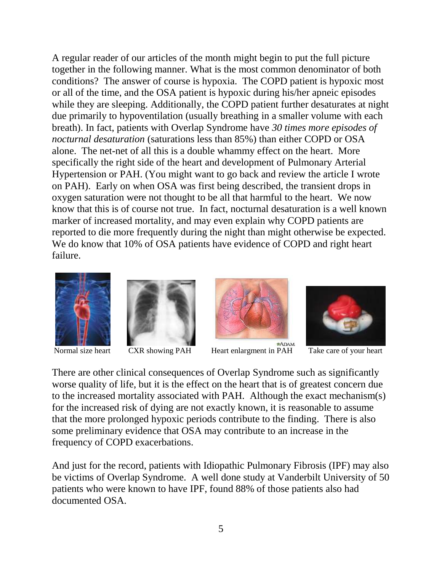A regular reader of our articles of the month might begin to put the full picture together in the following manner. What is the most common denominator of both conditions? The answer of course is hypoxia. The COPD patient is hypoxic most or all of the time, and the OSA patient is hypoxic during his/her apneic episodes while they are sleeping. Additionally, the COPD patient further desaturates at night due primarily to hypoventilation (usually breathing in a smaller volume with each breath). In fact, patients with Overlap Syndrome have *30 times more episodes of nocturnal desaturation* (saturations less than 85%) than either COPD or OSA alone. The net-net of all this is a double whammy effect on the heart. More specifically the right side of the heart and development of Pulmonary Arterial Hypertension or PAH. (You might want to go back and review the article I wrote on PAH). Early on when OSA was first being described, the transient drops in oxygen saturation were not thought to be all that harmful to the heart. We now know that this is of course not true. In fact, nocturnal desaturation is a well known marker of increased mortality, and may even explain why COPD patients are reported to die more frequently during the night than might otherwise be expected. We do know that 10% of OSA patients have evidence of COPD and right heart failure.





\*ADAM Normal size heart CXR showing PAH Heart enlargment in PAH Take care of your heart



There are other clinical consequences of Overlap Syndrome such as significantly worse quality of life, but it is the effect on the heart that is of greatest concern due to the increased mortality associated with PAH. Although the exact mechanism(s) for the increased risk of dying are not exactly known, it is reasonable to assume that the more prolonged hypoxic periods contribute to the finding. There is also some preliminary evidence that OSA may contribute to an increase in the frequency of COPD exacerbations.

And just for the record, patients with Idiopathic Pulmonary Fibrosis (IPF) may also be victims of Overlap Syndrome. A well done study at Vanderbilt University of 50 patients who were known to have IPF, found 88% of those patients also had documented OSA.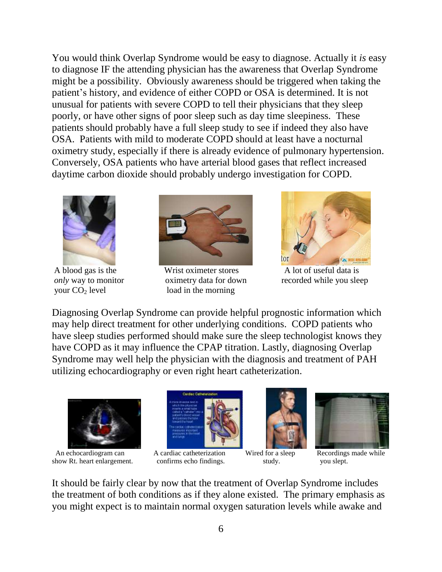You would think Overlap Syndrome would be easy to diagnose. Actually it *is* easy to diagnose IF the attending physician has the awareness that Overlap Syndrome might be a possibility. Obviously awareness should be triggered when taking the patient's history, and evidence of either COPD or OSA is determined. It is not unusual for patients with severe COPD to tell their physicians that they sleep poorly, or have other signs of poor sleep such as day time sleepiness. These patients should probably have a full sleep study to see if indeed they also have OSA. Patients with mild to moderate COPD should at least have a nocturnal oximetry study, especially if there is already evidence of pulmonary hypertension. Conversely, OSA patients who have arterial blood gases that reflect increased daytime carbon dioxide should probably undergo investigation for COPD.





A blood gas is the Wrist oximeter stores A lot of useful data is your  $CO<sub>2</sub>$  level load in the morning



*only* way to monitor oximetry data for down recorded while you sleep

Diagnosing Overlap Syndrome can provide helpful prognostic information which may help direct treatment for other underlying conditions. COPD patients who have sleep studies performed should make sure the sleep technologist knows they have COPD as it may influence the CPAP titration. Lastly, diagnosing Overlap Syndrome may well help the physician with the diagnosis and treatment of PAH utilizing echocardiography or even right heart catheterization.



An echocardiogram can A cardiac catheterization Wired for a sleep Recordings made while show Rt. heart enlargement. confirms echo findings. study. you slept.









It should be fairly clear by now that the treatment of Overlap Syndrome includes the treatment of both conditions as if they alone existed. The primary emphasis as you might expect is to maintain normal oxygen saturation levels while awake and